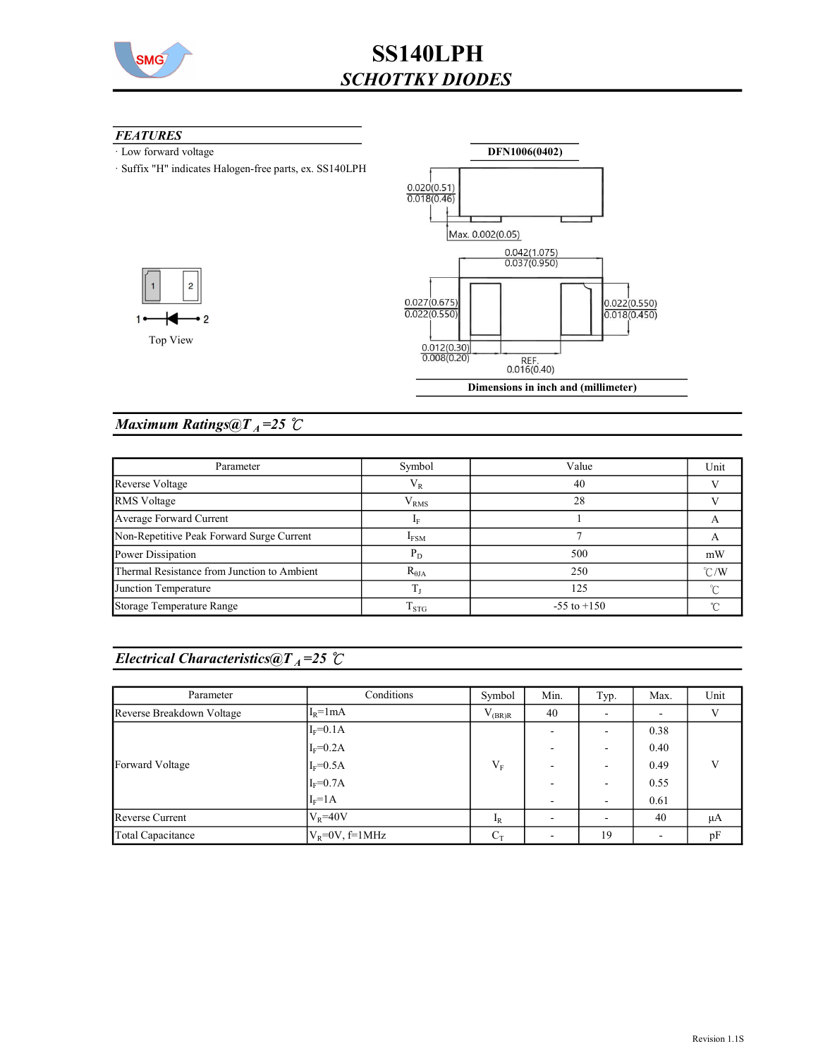

#### **FEATURES**

 $1<sub>•</sub>$ 

- · Low forward voltage
- · Suffix "H" indicates Halogen-free parts, ex. SS140LPH



### Maximum Ratings@ $T_A = 25$  °C

| Parameter                                   | Symbol              | Value           | Unit          |
|---------------------------------------------|---------------------|-----------------|---------------|
| Reverse Voltage                             | $V_{R}$             | 40              |               |
| <b>RMS</b> Voltage                          | ${\rm V}_{\rm RMS}$ | 28              |               |
| Average Forward Current                     |                     |                 |               |
| Non-Repetitive Peak Forward Surge Current   | $I_{FSM}$           |                 |               |
| Power Dissipation                           | $P_D$               | 500             | mW            |
| Thermal Resistance from Junction to Ambient | $R_{\theta JA}$     | 250             | $\degree$ C/W |
| Junction Temperature                        |                     | 125             | ∽             |
| Storage Temperature Range                   | $\mathrm{T_{STG}}$  | $-55$ to $+150$ | ∽             |

### Electrical Characteristics@ $T_A = 25$  °C

| Parameter                 | Conditions          | Symbol      | Min. | Typ.                     | Max.                     | Unit |
|---------------------------|---------------------|-------------|------|--------------------------|--------------------------|------|
| Reverse Breakdown Voltage | $I_R = 1 mA$        | $V_{(BR)R}$ | 40   | $\overline{\phantom{a}}$ |                          | V    |
|                           | $I_F = 0.1A$        |             |      | $\overline{\phantom{a}}$ | 0.38                     |      |
|                           | $I_F = 0.2A$        |             |      | $\overline{\phantom{a}}$ | 0.40                     |      |
| Forward Voltage           | $I_F = 0.5A$        | $V_F$       |      | ٠                        | 0.49                     | V    |
|                           | $I_F = 0.7A$        |             |      | $\overline{\phantom{a}}$ | 0.55                     |      |
|                           | $I_F=1A$            |             |      | $\sim$                   | 0.61                     |      |
| Reverse Current           | $ V_R=40V$          | $I_R$       |      | $\overline{\phantom{a}}$ | 40                       | μA   |
| Total Capacitance         | $V_R = 0V$ , f=1MHz | $C_T$       |      | 19                       | $\overline{\phantom{a}}$ | pF   |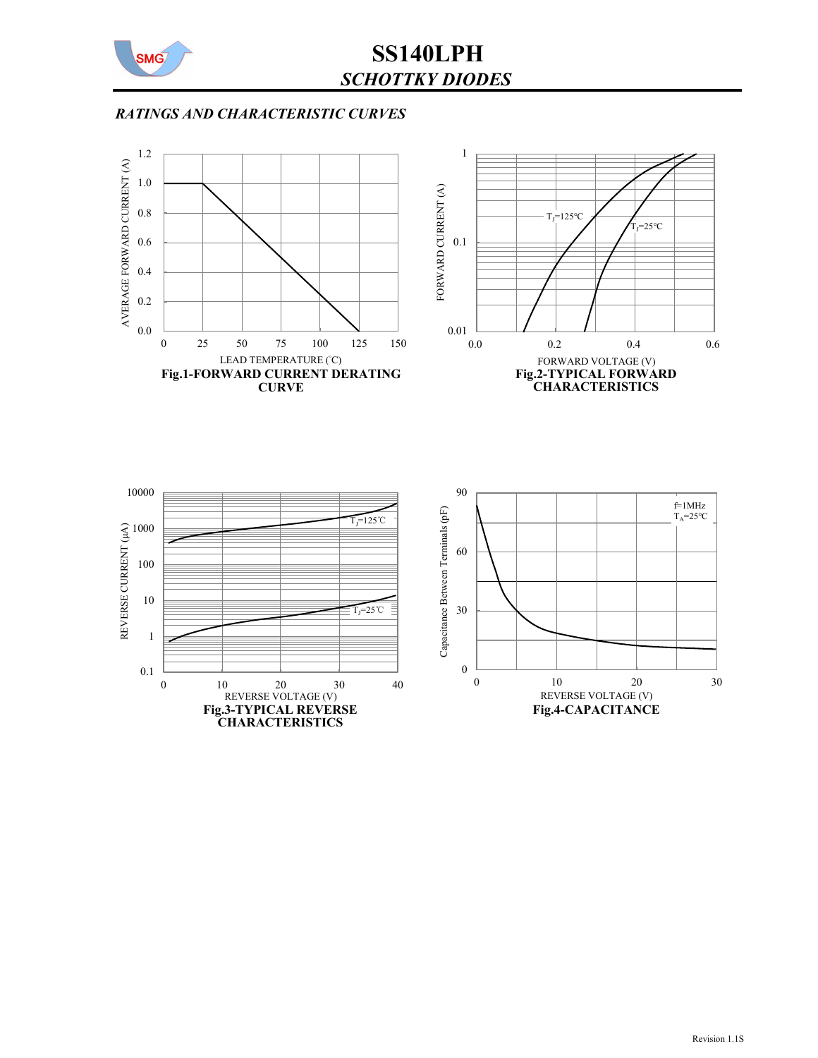

SS140LPH SCHOTTKY DIODES

## RATINGS AND CHARACTERISTIC CURVES

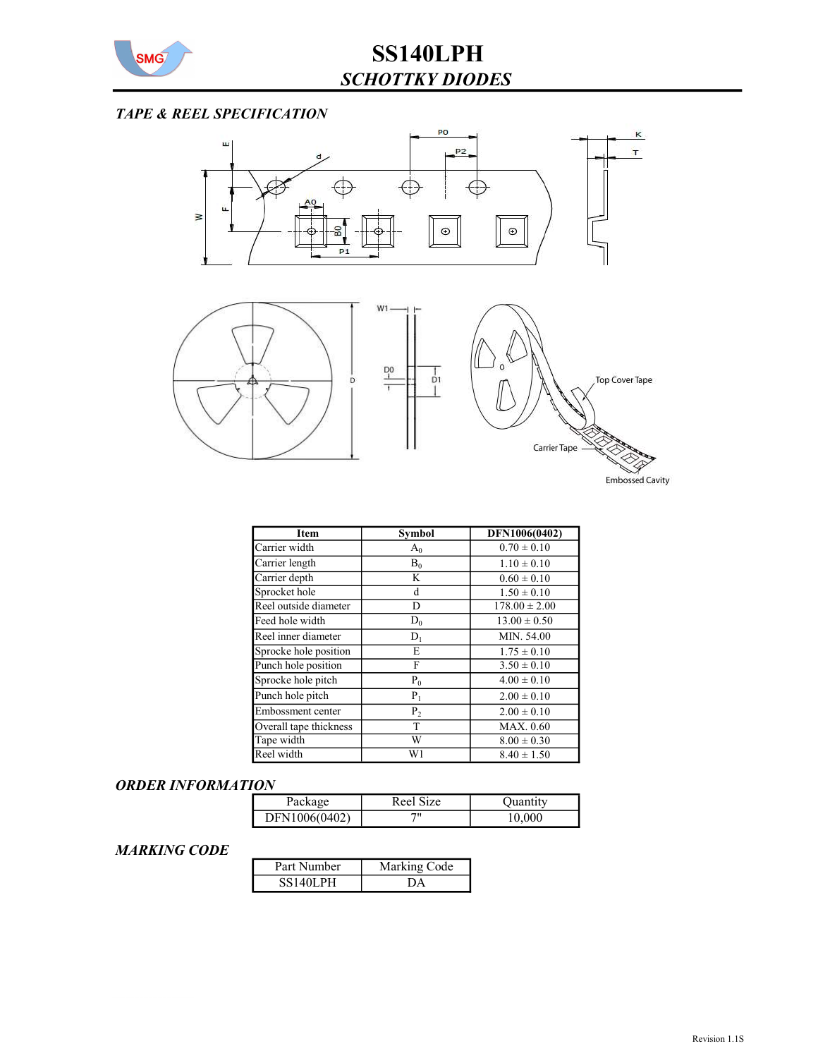

# TAPE & REEL SPECIFICATION



| <b>Item</b>            | <b>Symbol</b>  | DFN1006(0402)     |
|------------------------|----------------|-------------------|
| Carrier width          | $A_0$          | $0.70 \pm 0.10$   |
| Carrier length         | $B_0$          | $1.10 \pm 0.10$   |
| Carrier depth          | K              | $0.60 \pm 0.10$   |
| Sprocket hole          | d              | $1.50 \pm 0.10$   |
| Reel outside diameter  | D              | $178.00 \pm 2.00$ |
| Feed hole width        | $D_0$          | $13.00 \pm 0.50$  |
| Reel inner diameter    | $D_1$          | MIN. 54.00        |
| Sprocke hole position  | E              | $1.75 \pm 0.10$   |
| Punch hole position    | F              | $3.50 \pm 0.10$   |
| Sprocke hole pitch     | $P_0$          | $4.00 \pm 0.10$   |
| Punch hole pitch       | $P_1$          | $2.00 \pm 0.10$   |
| Embossment center      | P <sub>2</sub> | $2.00 \pm 0.10$   |
| Overall tape thickness | T              | MAX. 0.60         |
| Tape width             | W              | $8.00 \pm 0.30$   |
| Reel width             | W1             | $8.40 \pm 1.50$   |

#### ORDER INFORMATION

| Package       | Reel Size | Juan<br>.tıtv |
|---------------|-----------|---------------|
| DFN1006(0402) | 711       | .000          |

### MARKING CODE

| Part Number     | Marking Code |  |  |
|-----------------|--------------|--|--|
| <b>SS140LPH</b> |              |  |  |